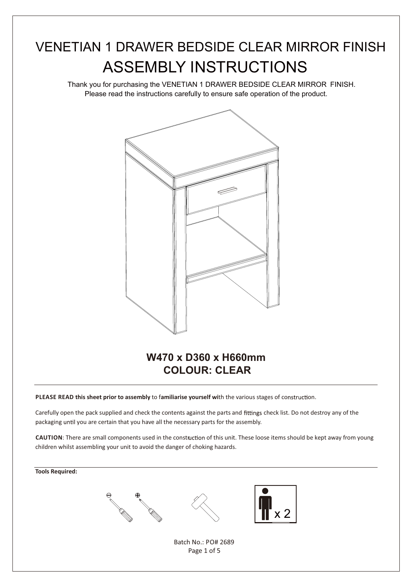### VENETIAN 1 DRAWER BEDSIDE CLEAR MIRROR FINISH ASSEMBLY INSTRUCTIONS

Thank you for purchasing the VENETIAN 1 DRAWER BEDSIDE CLEAR MIRROR FINISH. Please read the instructions carefully to ensure safe operation of the product.



# **COLOUR: CLEAR**

**PLEASE READ this sheet prior to assembly to familiarise yourself with the various stages of construction.** 

Carefully open the pack supplied and check the contents against the parts and fittings check list. Do not destroy any of the packaging until you are certain that you have all the necessary parts for the assembly.

**CAUTION**: There are small components used in the construction of this unit. These loose items should be kept away from young children whilst assembling your unit to avoid the danger of choking hazards.

#### **Tools Required:**







Batch No.: PO# 2689 Page 1 of 5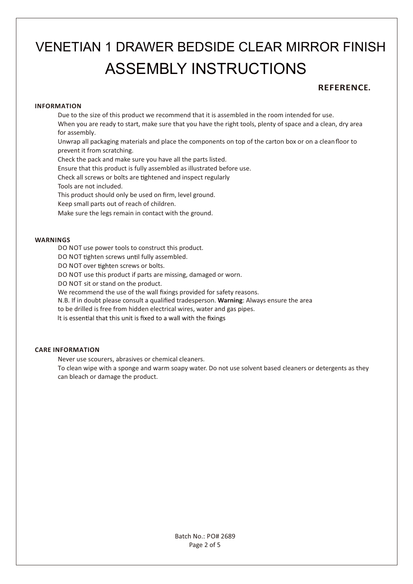### ASSEMBLY INSTRUCTIONS VENETIAN 1 DRAWER BEDSIDE CLEAR MIRROR FINISH

### **REFERENCE.**

#### **INFORMATION**

Due to the size of this product we recommend that it is assembled in the room intended for use. When you are ready to start, make sure that you have the right tools, plenty of space and a clean, dry area for assembly.

Unwrap all packaging materials and place the components on top of the carton box or on a cleanfloor to prevent it from scratching.

Check the pack and make sure you have all the parts listed.

Ensure that this product is fully assembled as illustrated before use.

Check all screws or bolts are tightened and inspect regularly

Tools are not included.

This product should only be used on firm, level ground.

Keep small parts out of reach of children.

Make sure the legs remain in contact with the ground.

#### **WARNINGS**

DO NOT use power tools to construct this product.

DO NOT tighten screws until fully assembled.

DO NOT over tighten screws or bolts.

DO NOT use this product if parts are missing, damaged or worn.

DO NOT sit or stand on the product.

We recommend the use of the wall fixings provided for safety reasons.

N.B. If in doubt please consult a qualified tradesperson. **Warning**: Always ensure the area

to be drilled is free from hidden electrical wires, water and gas pipes.

It is essential that this unit is fixed to a wall with the fixings

#### **CARE INFORMATION**

Never use scourers, abrasives or chemical cleaners.

To clean wipe with a sponge and warm soapy water. Do not use solvent based cleaners or detergents as they can bleach or damage the product.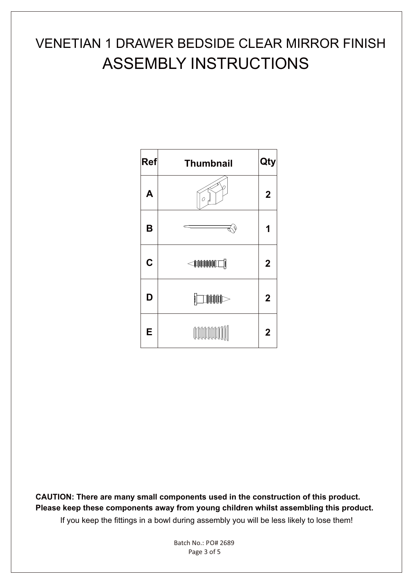### ASSEMBLY INSTRUCTIONS VENETIAN 1 DRAWER BEDSIDE CLEAR MIRROR FINISH



**CAUTION: There are many small components used in the construction of this product. Please keep these components away from young children whilst assembling this product.** If you keep the fittings in a bowl during assembly you will be less likely to lose them!

> Page 3 of 5 Batch No.: PO# 2689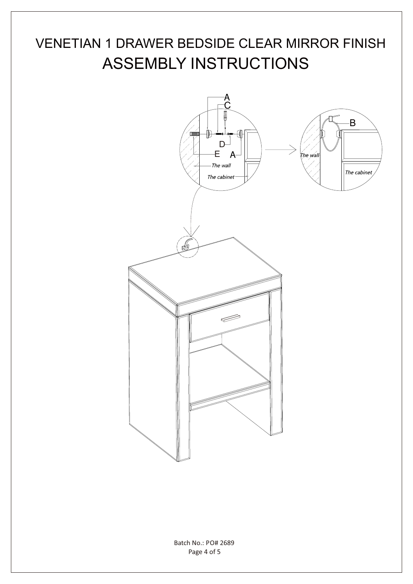## ASSEMBLY INSTRUCTIONS VENETIAN 1 DRAWER BEDSIDE CLEAR MIRROR FINISH